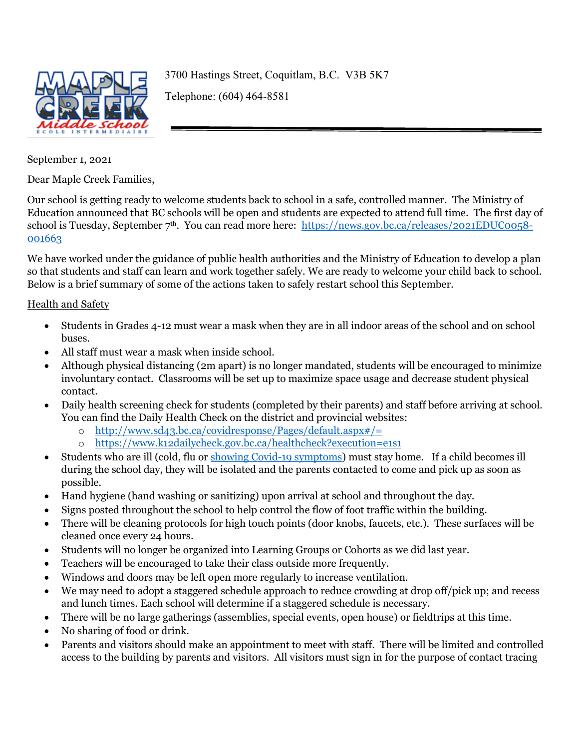

3700 Hastings Street, Coquitlam, B.C. V3B 5K7 Telephone: (604) 464-8581

September 1, 2021

Dear Maple Creek Families,

Our school is getting ready to welcome students back to school in a safe, controlled manner. The Ministry of Education announced that BC schools will be open and students are expected to attend full time. The first day of school is Tuesday, September 7<sup>th</sup>. You can read more here: [https://news.gov.bc.ca/releases/2021EDUC0058-](https://news.gov.bc.ca/releases/2021EDUC0058-001663) [001663](https://news.gov.bc.ca/releases/2021EDUC0058-001663)

We have worked under the guidance of public health authorities and the Ministry of Education to develop a plan so that students and staff can learn and work together safely. We are ready to welcome your child back to school. Below is a brief summary of some of the actions taken to safely restart school this September.

## Health and Safety

- Students in Grades 4-12 must wear a mask when they are in all indoor areas of the school and on school buses.
- All staff must wear a mask when inside school.
- Although physical distancing (2m apart) is no longer mandated, students will be encouraged to minimize involuntary contact. Classrooms will be set up to maximize space usage and decrease student physical contact.
- Daily health screening check for students (completed by their parents) and staff before arriving at school. You can find the Daily Health Check on the district and provincial websites:
	- o <http://www.sd43.bc.ca/covidresponse/Pages/default.aspx#/=>
	- o <https://www.k12dailycheck.gov.bc.ca/healthcheck?execution=e1s1>
- Students who are ill (cold, flu o[r showing Covid-19 symptoms\)](http://www.bccdc.ca/health-info/diseases-conditions/covid-19/about-covid-19/symptoms) must stay home. If a child becomes ill during the school day, they will be isolated and the parents contacted to come and pick up as soon as possible.
- Hand hygiene (hand washing or sanitizing) upon arrival at school and throughout the day.
- Signs posted throughout the school to help control the flow of foot traffic within the building.
- There will be cleaning protocols for high touch points (door knobs, faucets, etc.). These surfaces will be cleaned once every 24 hours.
- Students will no longer be organized into Learning Groups or Cohorts as we did last year.
- Teachers will be encouraged to take their class outside more frequently.
- Windows and doors may be left open more regularly to increase ventilation.
- We may need to adopt a staggered schedule approach to reduce crowding at drop off/pick up; and recess and lunch times. Each school will determine if a staggered schedule is necessary.
- There will be no large gatherings (assemblies, special events, open house) or fieldtrips at this time.
- No sharing of food or drink.
- Parents and visitors should make an appointment to meet with staff. There will be limited and controlled access to the building by parents and visitors. All visitors must sign in for the purpose of contact tracing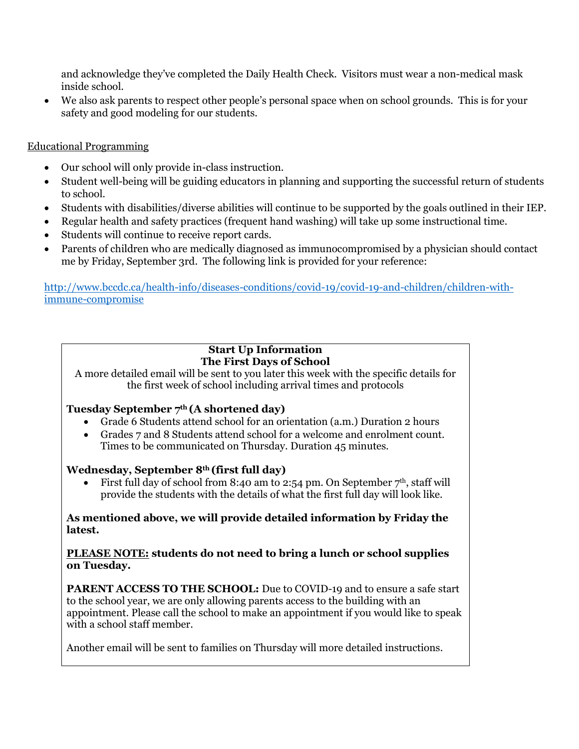and acknowledge they've completed the Daily Health Check. Visitors must wear a non-medical mask inside school.

• We also ask parents to respect other people's personal space when on school grounds. This is for your safety and good modeling for our students.

# Educational Programming

- Our school will only provide in-class instruction.
- Student well-being will be guiding educators in planning and supporting the successful return of students to school.
- Students with disabilities/diverse abilities will continue to be supported by the goals outlined in their IEP.
- Regular health and safety practices (frequent hand washing) will take up some instructional time.
- Students will continue to receive report cards.
- Parents of children who are medically diagnosed as immunocompromised by a physician should contact me by Friday, September 3rd. The following link is provided for your reference:

[http://www.bccdc.ca/health-info/diseases-conditions/covid-19/covid-19-and-children/children-with](http://www.bccdc.ca/health-info/diseases-conditions/covid-19/covid-19-and-children/children-with-immune-compromise)[immune-compromise](http://www.bccdc.ca/health-info/diseases-conditions/covid-19/covid-19-and-children/children-with-immune-compromise)

### **Start Up Information The First Days of School**

A more detailed email will be sent to you later this week with the specific details for the first week of school including arrival times and protocols

# **Tuesday September 7th (A shortened day)**

- Grade 6 Students attend school for an orientation (a.m.) Duration 2 hours
- Grades 7 and 8 Students attend school for a welcome and enrolment count. Times to be communicated on Thursday. Duration 45 minutes.

## **Wednesday, September 8th (first full day)**

First full day of school from 8:40 am to 2:54 pm. On September  $7<sup>th</sup>$ , staff will provide the students with the details of what the first full day will look like.

#### **As mentioned above, we will provide detailed information by Friday the latest.**

#### **PLEASE NOTE: students do not need to bring a lunch or school supplies on Tuesday.**

**PARENT ACCESS TO THE SCHOOL:** Due to COVID-19 and to ensure a safe start to the school year, we are only allowing parents access to the building with an appointment. Please call the school to make an appointment if you would like to speak with a school staff member.

Another email will be sent to families on Thursday will more detailed instructions.